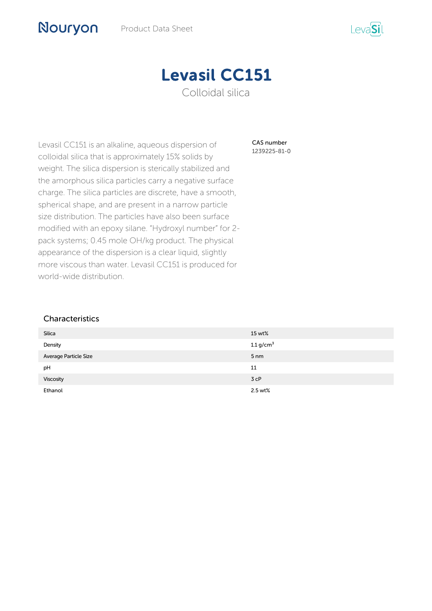

CAS number 1239225-81-0

Levasil CC151 is an alkaline, aqueous dispersion of colloidal silica that is approximately 15% solids by weight. The silica dispersion is sterically stabilized and the amorphous silica particles carry a negative surface charge. The silica particles are discrete, have a smooth, spherical shape, and are present in a narrow particle size distribution. The particles have also been surface modified with an epoxy silane. "Hydroxyl number" for 2 pack systems; 0.45 mole OH/kg product. The physical appearance of the dispersion is a clear liquid, slightly more viscous than water. Levasil CC151 is produced for world-wide distribution.

## **Characteristics**

Nouryon

| <b>Silica</b>         | 15 wt%          |
|-----------------------|-----------------|
| Density               | 1.1 $g/cm3$     |
| Average Particle Size | 5 <sub>nm</sub> |
| pH                    | 11              |
| Viscosity             | 3 cP            |
| Ethanol               | 2.5 wt%         |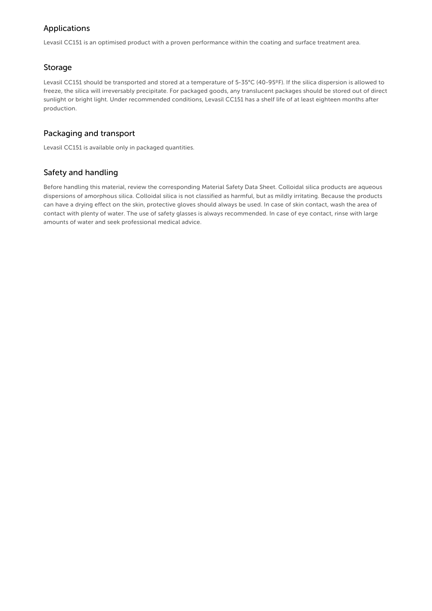# Applications

Levasil CC151 is an optimised product with a proven performance within the coating and surface treatment area.

## Storage

Levasil CC151 should be transported and stored at a temperature of 5-35°C (40-95ºF). If the silica dispersion is allowed to freeze, the silica will irreversably precipitate. For packaged goods, any translucent packages should be stored out of direct sunlight or bright light. Under recommended conditions, Levasil CC151 has a shelf life of at least eighteen months after production.

## Packaging and transport

Levasil CC151 is available only in packaged quantities.

## Safety and handling

Before handling this material, review the corresponding Material Safety Data Sheet. Colloidal silica products are aqueous dispersions of amorphous silica. Colloidal silica is not classified as harmful, but as mildly irritating. Because the products can have a drying effect on the skin, protective gloves should always be used. In case of skin contact, wash the area of contact with plenty of water. The use of safety glasses is always recommended. In case of eye contact, rinse with large amounts of water and seek professional medical advice.